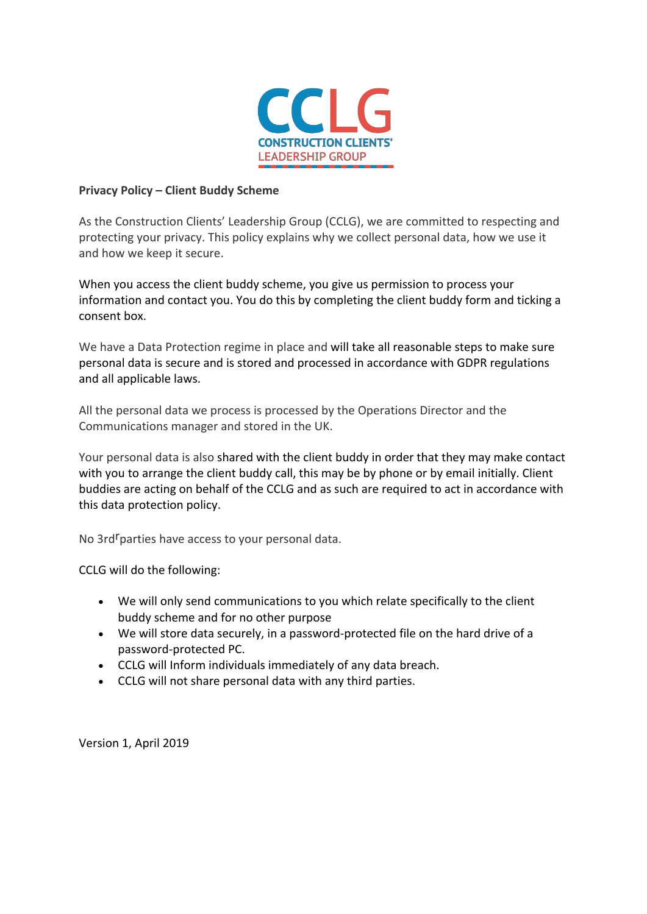

## **Privacy Policy – Client Buddy Scheme**

As the Construction Clients' Leadership Group (CCLG), we are committed to respecting and protecting your privacy. This policy explains why we collect personal data, how we use it and how we keep it secure.

When you access the client buddy scheme, you give us permission to process your information and contact you. You do this by completing the client buddy form and ticking a consent box.

We have a Data Protection regime in place and will take all reasonable steps to make sure personal data is secure and is stored and processed in accordance with GDPR regulations and all applicable laws.

All the personal data we process is processed by the Operations Director and the Communications manager and stored in the UK.

Your personal data is also shared with the client buddy in order that they may make contact with you to arrange the client buddy call, this may be by phone or by email initially. Client buddies are acting on behalf of the CCLG and as such are required to act in accordance with this data protection policy.

No 3rd<sup>r</sup>parties have access to your personal data.

CCLG will do the following:

- We will only send communications to you which relate specifically to the client buddy scheme and for no other purpose
- We will store data securely, in a password-protected file on the hard drive of a password-protected PC.
- CCLG will Inform individuals immediately of any data breach.
- CCLG will not share personal data with any third parties.

Version 1, April 2019